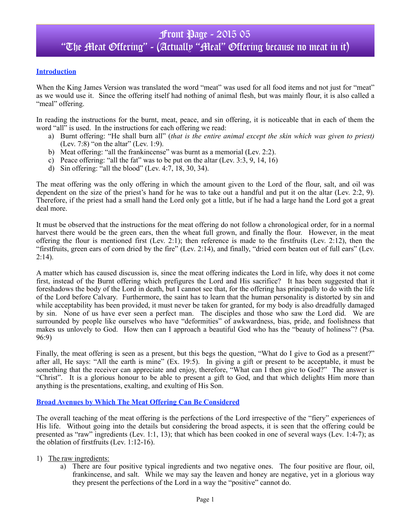### **Introduction**

When the King James Version was translated the word "meat" was used for all food items and not just for "meat" as we would use it. Since the offering itself had nothing of animal flesh, but was mainly flour, it is also called a "meal" offering.

In reading the instructions for the burnt, meat, peace, and sin offering, it is noticeable that in each of them the word "all" is used. In the instructions for each offering we read:

- a) Burnt offering: "He shall burn all" (*that is the entire animal except the skin which was given to priest)* (Lev. 7:8) "on the altar" (Lev. 1:9).
- b) Meat offering: "all the frankincense" was burnt as a memorial (Lev. 2:2).
- c) Peace offering: "all the fat" was to be put on the altar (Lev. 3:3, 9, 14, 16)
- d) Sin offering: "all the blood" (Lev. 4:7, 18, 30, 34).

The meat offering was the only offering in which the amount given to the Lord of the flour, salt, and oil was dependent on the size of the priest's hand for he was to take out a handful and put it on the altar (Lev. 2:2, 9). Therefore, if the priest had a small hand the Lord only got a little, but if he had a large hand the Lord got a great deal more.

It must be observed that the instructions for the meat offering do not follow a chronological order, for in a normal harvest there would be the green ears, then the wheat full grown, and finally the flour. However, in the meat offering the flour is mentioned first (Lev. 2:1); then reference is made to the firstfruits (Lev. 2:12), then the "firstfruits, green ears of corn dried by the fire" (Lev. 2:14), and finally, "dried corn beaten out of full ears" (Lev.  $2:14$ ).

A matter which has caused discussion is, since the meat offering indicates the Lord in life, why does it not come first, instead of the Burnt offering which prefigures the Lord and His sacrifice? It has been suggested that it foreshadows the body of the Lord in death, but I cannot see that, for the offering has principally to do with the life of the Lord before Calvary. Furthermore, the saint has to learn that the human personality is distorted by sin and while acceptability has been provided, it must never be taken for granted, for my body is also dreadfully damaged by sin. None of us have ever seen a perfect man. The disciples and those who saw the Lord did. We are surrounded by people like ourselves who have "deformities" of awkwardness, bias, pride, and foolishness that makes us unlovely to God. How then can I approach a beautiful God who has the "beauty of holiness"? (Psa. 96:9)

Finally, the meat offering is seen as a present, but this begs the question, "What do I give to God as a present?" after all, He says: "All the earth is mine" (Ex. 19:5). In giving a gift or present to be acceptable, it must be something that the receiver can appreciate and enjoy, therefore, "What can I then give to God?" The answer is "Christ". It is a glorious honour to be able to present a gift to God, and that which delights Him more than anything is the presentations, exalting, and exulting of His Son.

#### **Broad Avenues by Which The Meat Offering Can Be Considered**

The overall teaching of the meat offering is the perfections of the Lord irrespective of the "fiery" experiences of His life. Without going into the details but considering the broad aspects, it is seen that the offering could be presented as "raw" ingredients (Lev. 1:1, 13); that which has been cooked in one of several ways (Lev. 1:4-7); as the oblation of firstfruits (Lev. 1:12-16).

- 1) The raw ingredients:
	- a) There are four positive typical ingredients and two negative ones. The four positive are flour, oil, frankincense, and salt. While we may say the leaven and honey are negative, yet in a glorious way they present the perfections of the Lord in a way the "positive" cannot do.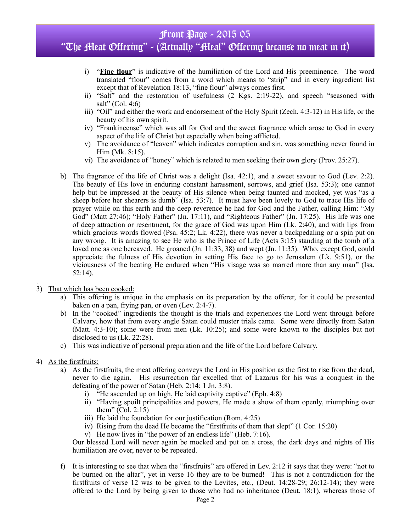## Front Page - 2015 05 "The Meat Offering" - (Actually "Meal" Offering because no meat in it)

- i) "**Fine flour**" is indicative of the humiliation of the Lord and His preeminence. The word translated "flour" comes from a word which means to "strip" and in every ingredient list except that of Revelation 18:13, "fine flour" always comes first.
- ii) "Salt" and the restoration of usefulness (2 Kgs. 2:19-22), and speech "seasoned with salt" (Col. 4:6)
- iii) "Oil" and either the work and endorsement of the Holy Spirit (Zech. 4:3-12) in His life, or the beauty of his own spirit.
- iv) "Frankincense" which was all for God and the sweet fragrance which arose to God in every aspect of the life of Christ but especially when being afflicted.
- v) The avoidance of "leaven" which indicates corruption and sin, was something never found in Him (Mk. 8:15).
- vi) The avoidance of "honey" which is related to men seeking their own glory (Prov. 25:27).
- b) The fragrance of the life of Christ was a delight (Isa. 42:1), and a sweet savour to God (Lev. 2:2). The beauty of His love in enduring constant harassment, sorrows, and grief (Isa. 53:3); one cannot help but be impressed at the beauty of His silence when being taunted and mocked, yet was "as a sheep before her shearers is dumb" (Isa. 53:7). It must have been lovely to God to trace His life of prayer while on this earth and the deep reverence he had for God and the Father, calling Him: "My God" (Matt 27:46); "Holy Father" (Jn. 17:11), and "Righteous Father" (Jn. 17:25). His life was one of deep attraction or resentment, for the grace of God was upon Him (Lk. 2:40), and with lips from which gracious words flowed (Psa. 45:2; Lk. 4:22), there was never a backpedaling or a spin put on any wrong. It is amazing to see He who is the Prince of Life (Acts 3:15) standing at the tomb of a loved one as one bereaved. He groaned (Jn. 11:33, 38) and wept (Jn. 11:35). Who, except God, could appreciate the fulness of His devotion in setting His face to go to Jerusalem (Lk. 9:51), or the viciousness of the beating He endured when "His visage was so marred more than any man" (Isa. 52:14).
- 3) That which has been cooked:
	- a) This offering is unique in the emphasis on its preparation by the offerer, for it could be presented baken on a pan, frying pan, or oven (Lev. 2:4-7).
	- b) In the "cooked" ingredients the thought is the trials and experiences the Lord went through before Calvary, how that from every angle Satan could muster trials came. Some were directly from Satan (Matt. 4:3-10); some were from men (Lk. 10:25); and some were known to the disciples but not disclosed to us (Lk. 22:28).
	- c) This was indicative of personal preparation and the life of the Lord before Calvary.
- 4) As the firstfruits:

.

- a) As the firstfruits, the meat offering conveys the Lord in His position as the first to rise from the dead, never to die again. His resurrection far excelled that of Lazarus for his was a conquest in the defeating of the power of Satan (Heb. 2:14; 1 Jn. 3:8).
	- i) "He ascended up on high, He laid captivity captive" (Eph. 4:8)
	- ii) "Having spoilt principalities and powers, He made a show of them openly, triumphing over them" (Col. 2:15)
	- iii) He laid the foundation for our justification (Rom. 4:25)
	- iv) Rising from the dead He became the "firstfruits of them that slept" (1 Cor. 15:20)
	- v) He now lives in "the power of an endless life" (Heb. 7:16).

Our blessed Lord will never again be mocked and put on a cross, the dark days and nights of His humiliation are over, never to be repeated.

f) It is interesting to see that when the "firstfruits" are offered in Lev. 2:12 it says that they were: "not to be burned on the altar", yet in verse 16 they are to be burned! This is not a contradiction for the firstfruits of verse 12 was to be given to the Levites, etc., (Deut. 14:28-29; 26:12-14); they were offered to the Lord by being given to those who had no inheritance (Deut. 18:1), whereas those of